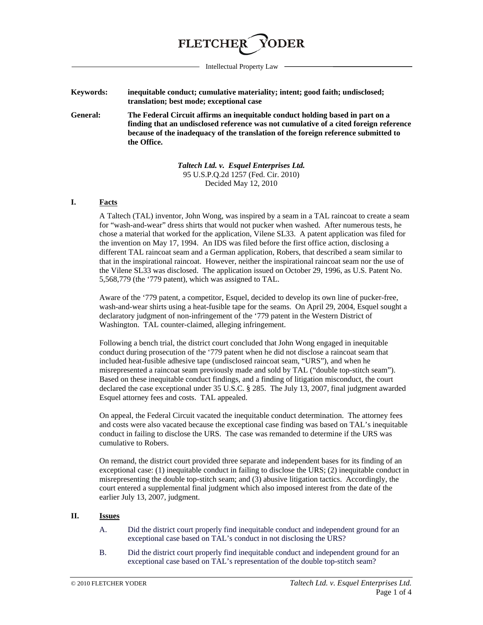

Intellectual Property Law

**Keywords: inequitable conduct; cumulative materiality; intent; good faith; undisclosed; translation; best mode; exceptional case**

**General: The Federal Circuit affirms an inequitable conduct holding based in part on a finding that an undisclosed reference was not cumulative of a cited foreign reference because of the inadequacy of the translation of the foreign reference submitted to the Office.**

> *Taltech Ltd. v. Esquel Enterprises Ltd.* 95 U.S.P.Q.2d 1257 (Fed. Cir. 2010) Decided May 12, 2010

## **I. Facts**

A Taltech (TAL) inventor, John Wong, was inspired by a seam in a TAL raincoat to create a seam for "wash-and-wear" dress shirts that would not pucker when washed. After numerous tests, he chose a material that worked for the application, Vilene SL33. A patent application was filed for the invention on May 17, 1994. An IDS was filed before the first office action, disclosing a different TAL raincoat seam and a German application, Robers, that described a seam similar to that in the inspirational raincoat. However, neither the inspirational raincoat seam nor the use of the Vilene SL33 was disclosed. The application issued on October 29, 1996, as U.S. Patent No. 5,568,779 (the '779 patent), which was assigned to TAL.

Aware of the '779 patent, a competitor, Esquel, decided to develop its own line of pucker-free, wash-and-wear shirts using a heat-fusible tape for the seams. On April 29, 2004, Esquel sought a declaratory judgment of non-infringement of the '779 patent in the Western District of Washington. TAL counter-claimed, alleging infringement.

Following a bench trial, the district court concluded that John Wong engaged in inequitable conduct during prosecution of the '779 patent when he did not disclose a raincoat seam that included heat-fusible adhesive tape (undisclosed raincoat seam, "URS"), and when he misrepresented a raincoat seam previously made and sold by TAL ("double top-stitch seam"). Based on these inequitable conduct findings, and a finding of litigation misconduct, the court declared the case exceptional under 35 U.S.C. § 285. The July 13, 2007, final judgment awarded Esquel attorney fees and costs. TAL appealed.

On appeal, the Federal Circuit vacated the inequitable conduct determination. The attorney fees and costs were also vacated because the exceptional case finding was based on TAL's inequitable conduct in failing to disclose the URS. The case was remanded to determine if the URS was cumulative to Robers.

On remand, the district court provided three separate and independent bases for its finding of an exceptional case: (1) inequitable conduct in failing to disclose the URS; (2) inequitable conduct in misrepresenting the double top-stitch seam; and (3) abusive litigation tactics. Accordingly, the court entered a supplemental final judgment which also imposed interest from the date of the earlier July 13, 2007, judgment.

## **II. Issues**

- A. Did the district court properly find inequitable conduct and independent ground for an exceptional case based on TAL's conduct in not disclosing the URS?
- B. Did the district court properly find inequitable conduct and independent ground for an exceptional case based on TAL's representation of the double top-stitch seam?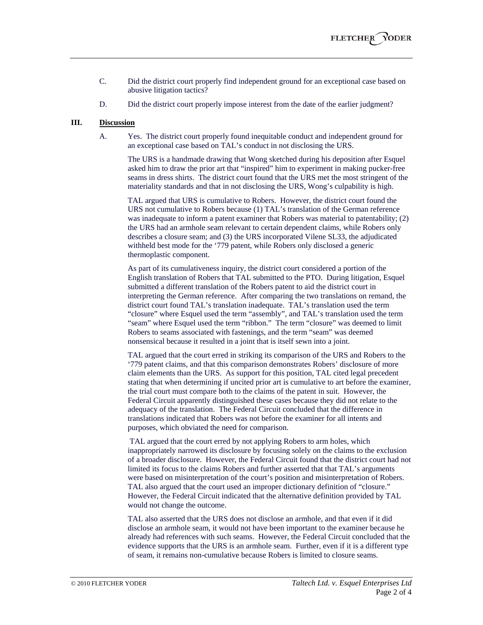- C. Did the district court properly find independent ground for an exceptional case based on abusive litigation tactics?
- D. Did the district court properly impose interest from the date of the earlier judgment?

## **III. Discussion**

A. Yes. The district court properly found inequitable conduct and independent ground for an exceptional case based on TAL's conduct in not disclosing the URS.

The URS is a handmade drawing that Wong sketched during his deposition after Esquel asked him to draw the prior art that "inspired" him to experiment in making pucker-free seams in dress shirts. The district court found that the URS met the most stringent of the materiality standards and that in not disclosing the URS, Wong's culpability is high.

TAL argued that URS is cumulative to Robers. However, the district court found the URS not cumulative to Robers because (1) TAL's translation of the German reference was inadequate to inform a patent examiner that Robers was material to patentability; (2) the URS had an armhole seam relevant to certain dependent claims, while Robers only describes a closure seam; and (3) the URS incorporated Vilene SL33, the adjudicated withheld best mode for the '779 patent, while Robers only disclosed a generic thermoplastic component.

As part of its cumulativeness inquiry, the district court considered a portion of the English translation of Robers that TAL submitted to the PTO. During litigation, Esquel submitted a different translation of the Robers patent to aid the district court in interpreting the German reference. After comparing the two translations on remand, the district court found TAL's translation inadequate. TAL's translation used the term "closure" where Esquel used the term "assembly", and TAL's translation used the term "seam" where Esquel used the term "ribbon." The term "closure" was deemed to limit Robers to seams associated with fastenings, and the term "seam" was deemed nonsensical because it resulted in a joint that is itself sewn into a joint.

TAL argued that the court erred in striking its comparison of the URS and Robers to the '779 patent claims, and that this comparison demonstrates Robers' disclosure of more claim elements than the URS. As support for this position, TAL cited legal precedent stating that when determining if uncited prior art is cumulative to art before the examiner, the trial court must compare both to the claims of the patent in suit. However, the Federal Circuit apparently distinguished these cases because they did not relate to the adequacy of the translation. The Federal Circuit concluded that the difference in translations indicated that Robers was not before the examiner for all intents and purposes, which obviated the need for comparison.

TAL argued that the court erred by not applying Robers to arm holes, which inappropriately narrowed its disclosure by focusing solely on the claims to the exclusion of a broader disclosure. However, the Federal Circuit found that the district court had not limited its focus to the claims Robers and further asserted that that TAL's arguments were based on misinterpretation of the court's position and misinterpretation of Robers. TAL also argued that the court used an improper dictionary definition of "closure." However, the Federal Circuit indicated that the alternative definition provided by TAL would not change the outcome.

TAL also asserted that the URS does not disclose an armhole, and that even if it did disclose an armhole seam, it would not have been important to the examiner because he already had references with such seams. However, the Federal Circuit concluded that the evidence supports that the URS is an armhole seam. Further, even if it is a different type of seam, it remains non-cumulative because Robers is limited to closure seams.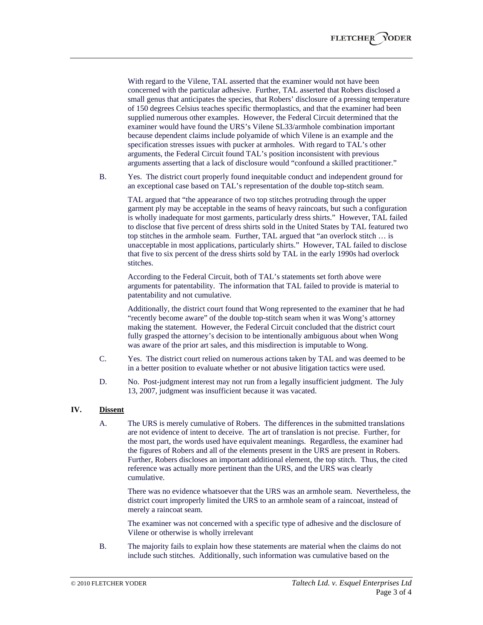With regard to the Vilene, TAL asserted that the examiner would not have been concerned with the particular adhesive. Further, TAL asserted that Robers disclosed a small genus that anticipates the species, that Robers' disclosure of a pressing temperature of 150 degrees Celsius teaches specific thermoplastics, and that the examiner had been supplied numerous other examples. However, the Federal Circuit determined that the examiner would have found the URS's Vilene SL33/armhole combination important because dependent claims include polyamide of which Vilene is an example and the specification stresses issues with pucker at armholes. With regard to TAL's other arguments, the Federal Circuit found TAL's position inconsistent with previous arguments asserting that a lack of disclosure would "confound a skilled practitioner."

B. Yes. The district court properly found inequitable conduct and independent ground for an exceptional case based on TAL's representation of the double top-stitch seam.

TAL argued that "the appearance of two top stitches protruding through the upper garment ply may be acceptable in the seams of heavy raincoats, but such a configuration is wholly inadequate for most garments, particularly dress shirts." However, TAL failed to disclose that five percent of dress shirts sold in the United States by TAL featured two top stitches in the armhole seam. Further, TAL argued that "an overlock stitch … is unacceptable in most applications, particularly shirts." However, TAL failed to disclose that five to six percent of the dress shirts sold by TAL in the early 1990s had overlock stitches.

According to the Federal Circuit, both of TAL's statements set forth above were arguments for patentability. The information that TAL failed to provide is material to patentability and not cumulative.

Additionally, the district court found that Wong represented to the examiner that he had "recently become aware" of the double top-stitch seam when it was Wong's attorney making the statement. However, the Federal Circuit concluded that the district court fully grasped the attorney's decision to be intentionally ambiguous about when Wong was aware of the prior art sales, and this misdirection is imputable to Wong.

- C. Yes. The district court relied on numerous actions taken by TAL and was deemed to be in a better position to evaluate whether or not abusive litigation tactics were used.
- D. No. Post-judgment interest may not run from a legally insufficient judgment. The July 13, 2007, judgment was insufficient because it was vacated.

## **IV. Dissent**

A. The URS is merely cumulative of Robers. The differences in the submitted translations are not evidence of intent to deceive. The art of translation is not precise. Further, for the most part, the words used have equivalent meanings. Regardless, the examiner had the figures of Robers and all of the elements present in the URS are present in Robers. Further, Robers discloses an important additional element, the top stitch. Thus, the cited reference was actually more pertinent than the URS, and the URS was clearly cumulative.

There was no evidence whatsoever that the URS was an armhole seam. Nevertheless, the district court improperly limited the URS to an armhole seam of a raincoat, instead of merely a raincoat seam.

The examiner was not concerned with a specific type of adhesive and the disclosure of Vilene or otherwise is wholly irrelevant

B. The majority fails to explain how these statements are material when the claims do not include such stitches. Additionally, such information was cumulative based on the